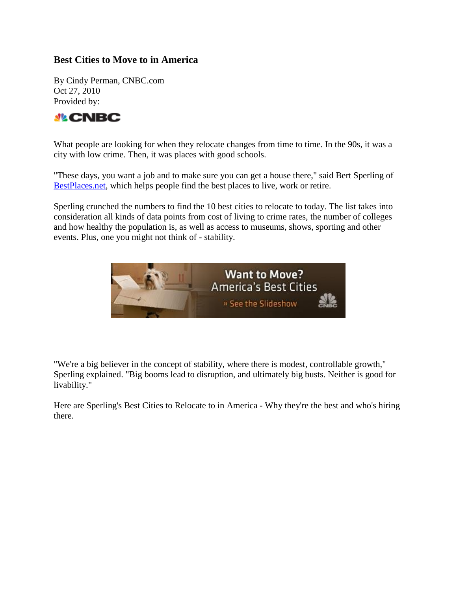#### **Best Cities to Move to in America**

By Cindy Perman, CNBC.com Oct 27, 2010 Provided by:



What people are looking for when they relocate changes from time to time. In the 90s, it was a city with low crime. Then, it was places with good schools.

"These days, you want a job and to make sure you can get a house there," said Bert Sperling of [BestPlaces.net,](http://www.bestplaces.net/) which helps people find the best places to live, work or retire.

Sperling crunched the numbers to find the 10 best cities to relocate to today. The list takes into consideration all kinds of data points from cost of living to crime rates, the number of colleges and how healthy the population is, as well as access to museums, shows, sporting and other events. Plus, one you might not think of - stability.



"We're a big believer in the concept of stability, where there is modest, controllable growth," Sperling explained. "Big booms lead to disruption, and ultimately big busts. Neither is good for livability."

Here are Sperling's Best Cities to Relocate to in America - Why they're the best and who's hiring there.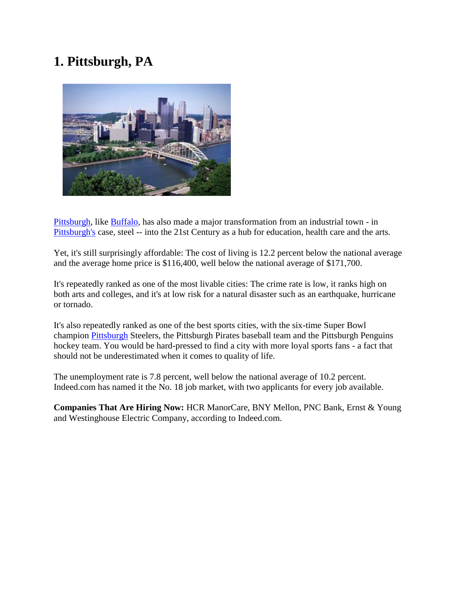# **1. Pittsburgh, PA**



[Pittsburgh,](http://realestate.yahoo.com/Pennsylvania/Pittsburgh) like [Buffalo,](http://realestate.yahoo.com/New_York/Buffalo) has also made a major transformation from an industrial town - in [Pittsburgh's](http://realestate.yahoo.com/Pennsylvania/Pittsburgh) case, steel -- into the 21st Century as a hub for education, health care and the arts.

Yet, it's still surprisingly affordable: The cost of living is 12.2 percent below the national average and the average home price is \$116,400, well below the national average of \$171,700.

It's repeatedly ranked as one of the most livable cities: The crime rate is low, it ranks high on both arts and colleges, and it's at low risk for a natural disaster such as an earthquake, hurricane or tornado.

It's also repeatedly ranked as one of the best sports cities, with the six-time Super Bowl champion [Pittsburgh](http://realestate.yahoo.com/Pennsylvania/Pittsburgh) Steelers, the Pittsburgh Pirates baseball team and the Pittsburgh Penguins hockey team. You would be hard-pressed to find a city with more loyal sports fans - a fact that should not be underestimated when it comes to quality of life.

The unemployment rate is 7.8 percent, well below the national average of 10.2 percent. Indeed.com has named it the No. 18 job market, with two applicants for every job available.

**Companies That Are Hiring Now:** HCR ManorCare, BNY Mellon, PNC Bank, Ernst & Young and Westinghouse Electric Company, according to Indeed.com.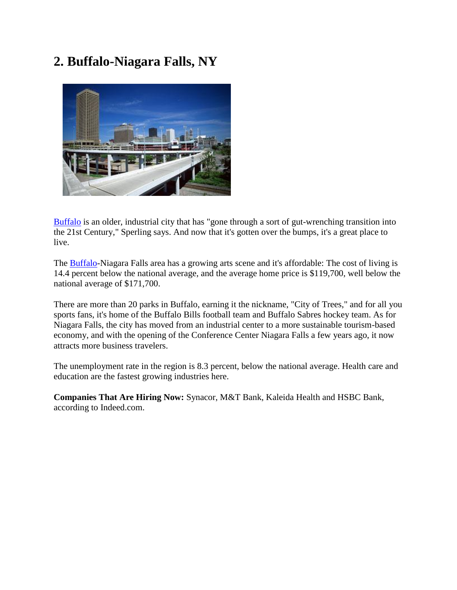## **2. Buffalo-Niagara Falls, NY**



[Buffalo](http://realestate.yahoo.com/New_York/Buffalo) is an older, industrial city that has "gone through a sort of gut-wrenching transition into the 21st Century," Sperling says. And now that it's gotten over the bumps, it's a great place to live.

The [Buffalo-](http://realestate.yahoo.com/New_York/Buffalo)Niagara Falls area has a growing arts scene and it's affordable: The cost of living is 14.4 percent below the national average, and the average home price is \$119,700, well below the national average of \$171,700.

There are more than 20 parks in Buffalo, earning it the nickname, "City of Trees," and for all you sports fans, it's home of the Buffalo Bills football team and Buffalo Sabres hockey team. As for Niagara Falls, the city has moved from an industrial center to a more sustainable tourism-based economy, and with the opening of the Conference Center Niagara Falls a few years ago, it now attracts more business travelers.

The unemployment rate in the region is 8.3 percent, below the national average. Health care and education are the fastest growing industries here.

**Companies That Are Hiring Now:** Synacor, M&T Bank, Kaleida Health and HSBC Bank, according to Indeed.com.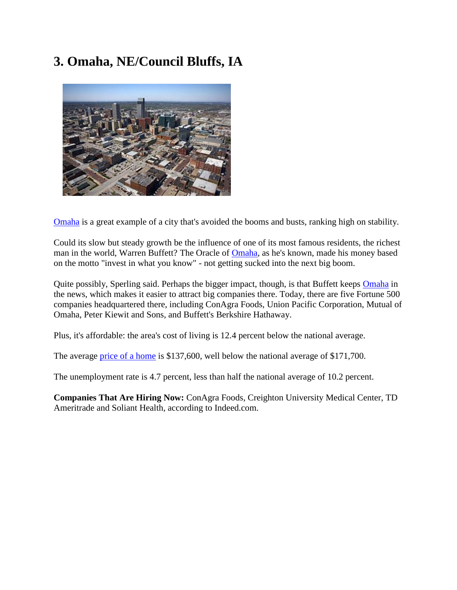# **3. Omaha, NE/Council Bluffs, IA**



[Omaha](http://realestate.yahoo.com/Nebraska/Omaha) is a great example of a city that's avoided the booms and busts, ranking high on stability.

Could its slow but steady growth be the influence of one of its most famous residents, the richest man in the world, Warren Buffett? The Oracle of [Omaha,](http://realestate.yahoo.com/Nebraska/Omaha) as he's known, made his money based on the motto "invest in what you know" - not getting sucked into the next big boom.

Quite possibly, Sperling said. Perhaps the bigger impact, though, is that Buffett keeps [Omaha](http://realestate.yahoo.com/Nebraska/Omaha) in the news, which makes it easier to attract big companies there. Today, there are five Fortune 500 companies headquartered there, including ConAgra Foods, Union Pacific Corporation, Mutual of Omaha, Peter Kiewit and Sons, and Buffett's Berkshire Hathaway.

Plus, it's affordable: the area's cost of living is 12.4 percent below the national average.

The average [price of a home](http://realestate.yahoo.com/Homevalues) is \$137,600, well below the national average of \$171,700.

The unemployment rate is 4.7 percent, less than half the national average of 10.2 percent.

**Companies That Are Hiring Now:** ConAgra Foods, Creighton University Medical Center, TD Ameritrade and Soliant Health, according to Indeed.com.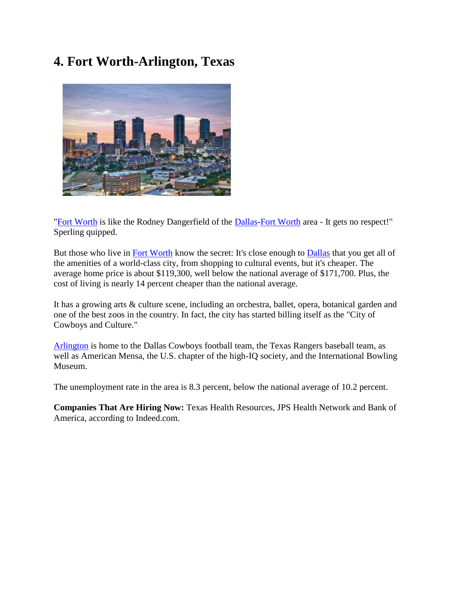## **4. Fort Worth-Arlington, Texas**



["Fort Worth](http://realestate.yahoo.com/Texas/Fort_Worth) is like the Rodney Dangerfield of the [Dallas](http://realestate.yahoo.com/Texas/Dallas)[-Fort Worth](http://realestate.yahoo.com/Texas/Fort_Worth) area - It gets no respect!" Sperling quipped.

But those who live in [Fort Worth](http://realestate.yahoo.com/Texas/Fort_Worth) know the secret: It's close enough to [Dallas](http://realestate.yahoo.com/Texas/Dallas) that you get all of the amenities of a world-class city, from shopping to cultural events, but it's cheaper. The average home price is about \$119,300, well below the national average of \$171,700. Plus, the cost of living is nearly 14 percent cheaper than the national average.

It has a growing arts & culture scene, including an orchestra, ballet, opera, botanical garden and one of the best zoos in the country. In fact, the city has started billing itself as the "City of Cowboys and Culture."

[Arlington](http://realestate.yahoo.com/Texas/Arlington) is home to the Dallas Cowboys football team, the Texas Rangers baseball team, as well as American Mensa, the U.S. chapter of the high-IQ society, and the International Bowling Museum.

The unemployment rate in the area is 8.3 percent, below the national average of 10.2 percent.

**Companies That Are Hiring Now:** Texas Health Resources, JPS Health Network and Bank of America, according to Indeed.com.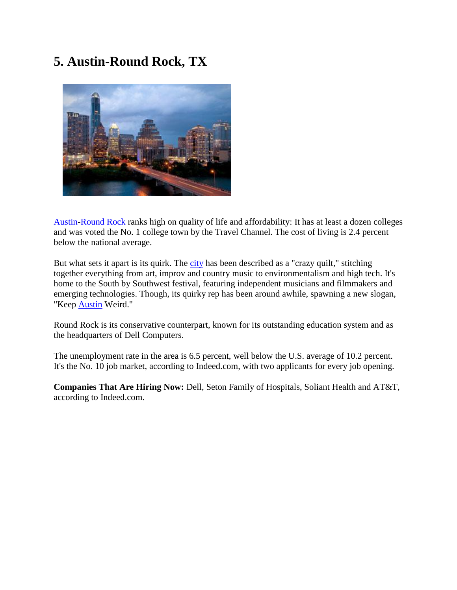## **5. Austin-Round Rock, TX**



[Austin](http://realestate.yahoo.com/Texas/Austin)[-Round Rock](http://realestate.yahoo.com/Texas/Round_Rock) ranks high on quality of life and affordability: It has at least a dozen colleges and was voted the No. 1 college town by the Travel Channel. The cost of living is 2.4 percent below the national average.

But what sets it apart is its quirk. The [city](http://realestate.yahoo.com/Texas/Austin) has been described as a "crazy quilt," stitching together everything from art, improv and country music to environmentalism and high tech. It's home to the South by Southwest festival, featuring independent musicians and filmmakers and emerging technologies. Though, its quirky rep has been around awhile, spawning a new slogan, "Keep [Austin](http://realestate.yahoo.com/Texas/Austin) Weird."

Round Rock is its conservative counterpart, known for its outstanding education system and as the headquarters of Dell Computers.

The unemployment rate in the area is 6.5 percent, well below the U.S. average of 10.2 percent. It's the No. 10 job market, according to Indeed.com, with two applicants for every job opening.

**Companies That Are Hiring Now:** Dell, Seton Family of Hospitals, Soliant Health and AT&T, according to Indeed.com.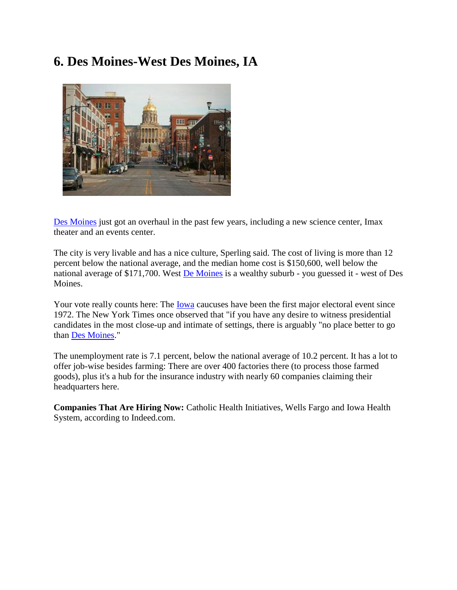### **6. Des Moines-West Des Moines, IA**



[Des Moines](http://realestate.yahoo.com/Iowa/Des_Moines) just got an overhaul in the past few years, including a new science center, Imax theater and an events center.

The city is very livable and has a nice culture, Sperling said. The cost of living is more than 12 percent below the national average, and the median home cost is \$150,600, well below the national average of \$171,700. West **De Moines** is a wealthy suburb - you guessed it - west of Des Moines.

Your vote really counts here: The [Iowa](http://realestate.yahoo.com/Iowa) caucuses have been the first major electoral event since 1972. The New York Times once observed that "if you have any desire to witness presidential candidates in the most close-up and intimate of settings, there is arguably "no place better to go than [Des Moines.](http://realestate.yahoo.com/Iowa/Des_Moines)"

The unemployment rate is 7.1 percent, below the national average of 10.2 percent. It has a lot to offer job-wise besides farming: There are over 400 factories there (to process those farmed goods), plus it's a hub for the insurance industry with nearly 60 companies claiming their headquarters here.

**Companies That Are Hiring Now:** Catholic Health Initiatives, Wells Fargo and Iowa Health System, according to Indeed.com.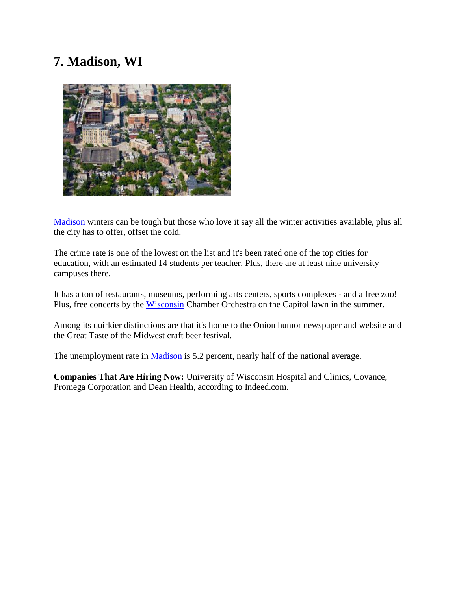# **7. Madison, WI**



[Madison](http://realestate.yahoo.com/Wisconsin/Madison) winters can be tough but those who love it say all the winter activities available, plus all the city has to offer, offset the cold.

The crime rate is one of the lowest on the list and it's been rated one of the top cities for education, with an estimated 14 students per teacher. Plus, there are at least nine university campuses there.

It has a ton of restaurants, museums, performing arts centers, sports complexes - and a free zoo! Plus, free concerts by the [Wisconsin](http://realestate.yahoo.com/Wisconsin) Chamber Orchestra on the Capitol lawn in the summer.

Among its quirkier distinctions are that it's home to the Onion humor newspaper and website and the Great Taste of the Midwest craft beer festival.

The unemployment rate in [Madison](http://realestate.yahoo.com/Wisconsin/Madison) is 5.2 percent, nearly half of the national average.

**Companies That Are Hiring Now:** University of Wisconsin Hospital and Clinics, Covance, Promega Corporation and Dean Health, according to Indeed.com.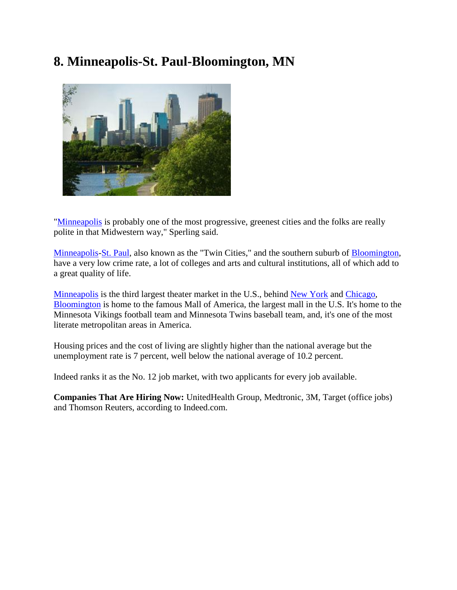# **8. Minneapolis-St. Paul-Bloomington, MN**



["Minneapolis](http://realestate.yahoo.com/Minnesota/Minneapolis) is probably one of the most progressive, greenest cities and the folks are really polite in that Midwestern way," Sperling said.

[Minneapolis](http://realestate.yahoo.com/Minnesota/Minneapolis)[-St. Paul,](http://realestate.yahoo.com/Minnesota/St_Paul) also known as the "Twin Cities," and the southern suburb of [Bloomington,](http://realestate.yahoo.com/Minnesota/Bloomington) have a very low crime rate, a lot of colleges and arts and cultural institutions, all of which add to a great quality of life.

[Minneapolis](http://realestate.yahoo.com/Minnesota/Minneapolis) is the third largest theater market in the U.S., behind [New York](http://realestate.yahoo.com/New_York/New_York) and [Chicago,](http://realestate.yahoo.com/Illinois/Chicago) [Bloomington](http://realestate.yahoo.com/Minnesota/Bloomington) is home to the famous Mall of America, the largest mall in the U.S. It's home to the Minnesota Vikings football team and Minnesota Twins baseball team, and, it's one of the most literate metropolitan areas in America.

Housing prices and the cost of living are slightly higher than the national average but the unemployment rate is 7 percent, well below the national average of 10.2 percent.

Indeed ranks it as the No. 12 job market, with two applicants for every job available.

**Companies That Are Hiring Now:** UnitedHealth Group, Medtronic, 3M, Target (office jobs) and Thomson Reuters, according to Indeed.com.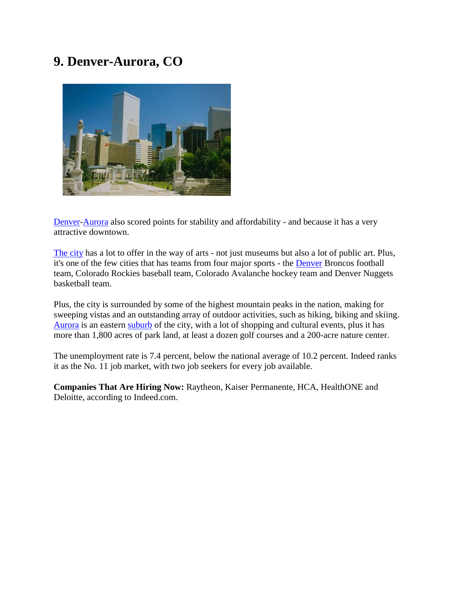## **9. Denver-Aurora, CO**



[Denver-](http://realestate.yahoo.com/Colorado/Denver)[Aurora](http://realestate.yahoo.com/Colorado/Aurora) also scored points for stability and affordability - and because it has a very attractive downtown.

[The city](http://realestate.yahoo.com/Colorado/Denver) has a lot to offer in the way of arts - not just museums but also a lot of public art. Plus, it's one of the few cities that has teams from four major sports - the [Denver](http://realestate.yahoo.com/Colorado/Denver) Broncos football team, Colorado Rockies baseball team, Colorado Avalanche hockey team and Denver Nuggets basketball team.

Plus, the city is surrounded by some of the highest mountain peaks in the nation, making for sweeping vistas and an outstanding array of outdoor activities, such as hiking, biking and skiing. [Aurora](http://realestate.yahoo.com/Colorado/Aurora) is an eastern [suburb](http://realestate.yahoo.com/Colorado/Aurora) of the city, with a lot of shopping and cultural events, plus it has more than 1,800 acres of park land, at least a dozen golf courses and a 200-acre nature center.

The unemployment rate is 7.4 percent, below the national average of 10.2 percent. Indeed ranks it as the No. 11 job market, with two job seekers for every job available.

**Companies That Are Hiring Now:** Raytheon, Kaiser Permanente, HCA, HealthONE and Deloitte, according to Indeed.com.